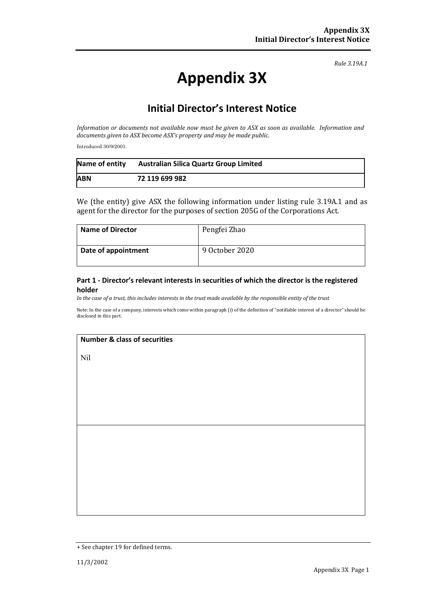*Rule 3.19A.1*

# **Appendix 3X**

# **Initial Director's Interest Notice**

*Information or documents not available now must be given to ASX as soon as available. Information and documents given to ASX become ASX's property and may be made public.*

Introduced 30/9/2001.

| Name of entity | <b>Australian Silica Quartz Group Limited</b> |
|----------------|-----------------------------------------------|
| <b>ABN</b>     | 72 119 699 982                                |

We (the entity) give ASX the following information under listing rule 3.19A.1 and as agent for the director for the purposes of section 205G of the Corporations Act.

| <b>Name of Director</b> | Pengfei Zhao   |
|-------------------------|----------------|
| Date of appointment     | 9 October 2020 |

#### **Part 1 - Director's relevant interests in securities of which the director is the registered holder**

*In the case of a trust, this includes interests in the trust made available by the responsible entity of the trust*

Note: In the case of a company, interests which come within paragraph (i) of the definition of "notifiable interest of a director" should be disclosed in this part.

#### **Number & class of securities**

Nil

<sup>+</sup> See chapter 19 for defined terms.